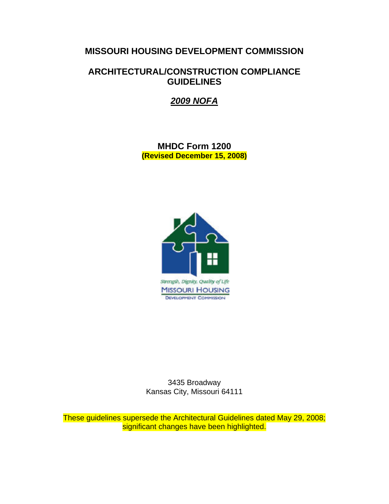# **MISSOURI HOUSING DEVELOPMENT COMMISSION**

# **ARCHITECTURAL/CONSTRUCTION COMPLIANCE GUIDELINES**

*2009 NOFA*

**MHDC Form 1200 (Revised December 15, 2008)** 



3435 Broadway Kansas City, Missouri 64111

These guidelines supersede the Architectural Guidelines dated May 29, 2008; significant changes have been highlighted.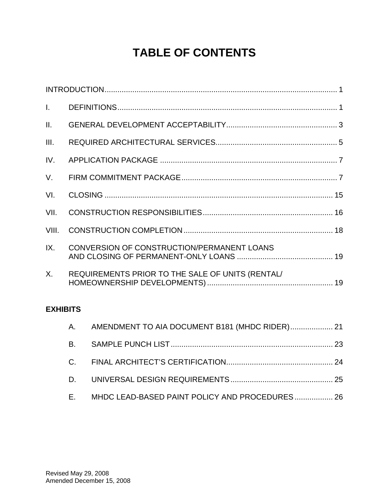# **TABLE OF CONTENTS**

| $\mathbf{L}$    |                                                  |  |
|-----------------|--------------------------------------------------|--|
| $\mathbf{II}$ . |                                                  |  |
| III.            |                                                  |  |
| IV.             |                                                  |  |
| $V_{\cdot}$     |                                                  |  |
| VI.             |                                                  |  |
| VII.            |                                                  |  |
| VIII.           |                                                  |  |
| IX.             | CONVERSION OF CONSTRUCTION/PERMANENT LOANS       |  |
| X.              | REQUIREMENTS PRIOR TO THE SALE OF UNITS (RENTAL/ |  |

# **EXHIBITS**

|    | A. AMENDMENT TO AIA DOCUMENT B181 (MHDC RIDER) 21 |  |
|----|---------------------------------------------------|--|
|    |                                                   |  |
|    |                                                   |  |
|    |                                                   |  |
| E. | MHDC LEAD-BASED PAINT POLICY AND PROCEDURES 26    |  |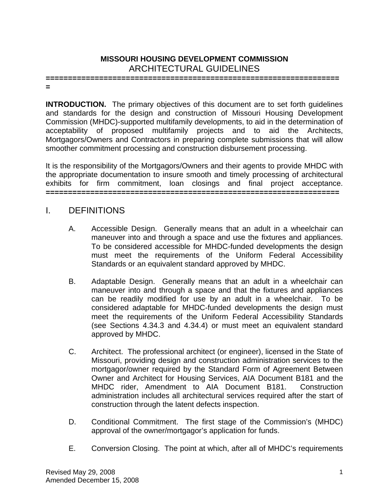# **MISSOURI HOUSING DEVELOPMENT COMMISSION**  ARCHITECTURAL GUIDELINES

**================================================================== =** 

**INTRODUCTION.** The primary objectives of this document are to set forth guidelines and standards for the design and construction of Missouri Housing Development Commission (MHDC)-supported multifamily developments, to aid in the determination of acceptability of proposed multifamily projects and to aid the Architects, Mortgagors/Owners and Contractors in preparing complete submissions that will allow smoother commitment processing and construction disbursement processing.

It is the responsibility of the Mortgagors/Owners and their agents to provide MHDC with the appropriate documentation to insure smooth and timely processing of architectural exhibits for firm commitment, loan closings and final project acceptance. **==================================================================** 

# I. DEFINITIONS

- A. Accessible Design. Generally means that an adult in a wheelchair can maneuver into and through a space and use the fixtures and appliances. To be considered accessible for MHDC-funded developments the design must meet the requirements of the Uniform Federal Accessibility Standards or an equivalent standard approved by MHDC.
- B. Adaptable Design. Generally means that an adult in a wheelchair can maneuver into and through a space and that the fixtures and appliances can be readily modified for use by an adult in a wheelchair. To be considered adaptable for MHDC-funded developments the design must meet the requirements of the Uniform Federal Accessibility Standards (see Sections 4.34.3 and 4.34.4) or must meet an equivalent standard approved by MHDC.
- C. Architect. The professional architect (or engineer), licensed in the State of Missouri, providing design and construction administration services to the mortgagor/owner required by the Standard Form of Agreement Between Owner and Architect for Housing Services, AIA Document B181 and the MHDC rider, Amendment to AIA Document B181. Construction administration includes all architectural services required after the start of construction through the latent defects inspection.
- D. Conditional Commitment. The first stage of the Commission's (MHDC) approval of the owner/mortgagor's application for funds.
- E. Conversion Closing. The point at which, after all of MHDC's requirements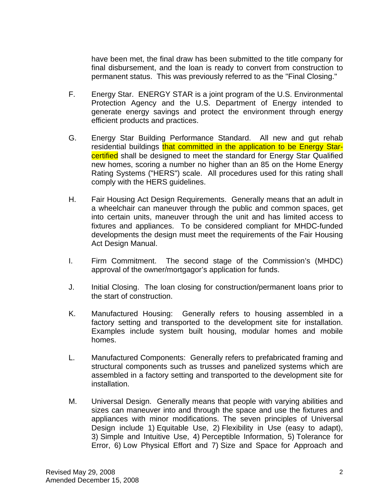have been met, the final draw has been submitted to the title company for final disbursement, and the loan is ready to convert from construction to permanent status. This was previously referred to as the "Final Closing."

- F. Energy Star. ENERGY STAR is a joint program of the U.S. Environmental Protection Agency and the U.S. Department of Energy intended to generate energy savings and protect the environment through energy efficient products and practices.
- G. Energy Star Building Performance Standard. All new and gut rehab residential buildings that committed in the application to be Energy Starcertified shall be designed to meet the standard for Energy Star Qualified new homes, scoring a number no higher than an 85 on the Home Energy Rating Systems ("HERS") scale. All procedures used for this rating shall comply with the HERS guidelines.
- H. Fair Housing Act Design Requirements. Generally means that an adult in a wheelchair can maneuver through the public and common spaces, get into certain units, maneuver through the unit and has limited access to fixtures and appliances. To be considered compliant for MHDC-funded developments the design must meet the requirements of the Fair Housing Act Design Manual.
- I. Firm Commitment. The second stage of the Commission's (MHDC) approval of the owner/mortgagor's application for funds.
- J. Initial Closing. The loan closing for construction/permanent loans prior to the start of construction.
- K. Manufactured Housing: Generally refers to housing assembled in a factory setting and transported to the development site for installation. Examples include system built housing, modular homes and mobile homes.
- L. Manufactured Components: Generally refers to prefabricated framing and structural components such as trusses and panelized systems which are assembled in a factory setting and transported to the development site for installation.
- M. Universal Design. Generally means that people with varying abilities and sizes can maneuver into and through the space and use the fixtures and appliances with minor modifications. The seven principles of Universal Design include 1) Equitable Use, 2) Flexibility in Use (easy to adapt), 3) Simple and Intuitive Use, 4) Perceptible Information, 5) Tolerance for Error, 6) Low Physical Effort and 7) Size and Space for Approach and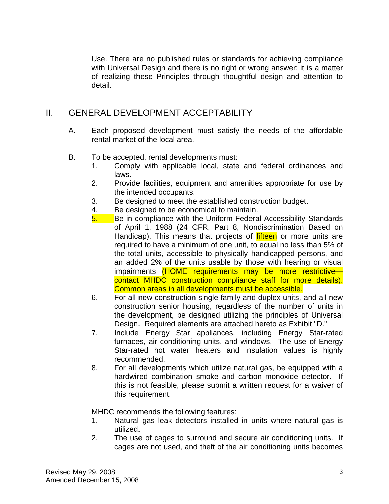Use. There are no published rules or standards for achieving compliance with Universal Design and there is no right or wrong answer; it is a matter of realizing these Principles through thoughtful design and attention to detail.

# II. GENERAL DEVELOPMENT ACCEPTABILITY

- A. Each proposed development must satisfy the needs of the affordable rental market of the local area.
- B. To be accepted, rental developments must:
	- 1. Comply with applicable local, state and federal ordinances and laws.
	- 2. Provide facilities, equipment and amenities appropriate for use by the intended occupants.
	- 3. Be designed to meet the established construction budget.
	- 4. Be designed to be economical to maintain.
	- 5. Be in compliance with the Uniform Federal Accessibility Standards of April 1, 1988 (24 CFR, Part 8, Nondiscrimination Based on Handicap). This means that projects of *fifteen* or more units are required to have a minimum of one unit, to equal no less than 5% of the total units, accessible to physically handicapped persons, and an added 2% of the units usable by those with hearing or visual impairments (HOME requirements may be more restrictive contact MHDC construction compliance staff for more details). Common areas in all developments must be accessible.
	- 6. For all new construction single family and duplex units, and all new construction senior housing, regardless of the number of units in the development, be designed utilizing the principles of Universal Design. Required elements are attached hereto as Exhibit "D."
	- 7. Include Energy Star appliances, including Energy Star-rated furnaces, air conditioning units, and windows. The use of Energy Star-rated hot water heaters and insulation values is highly recommended.
	- 8. For all developments which utilize natural gas, be equipped with a hardwired combination smoke and carbon monoxide detector. If this is not feasible, please submit a written request for a waiver of this requirement.

MHDC recommends the following features:

- 1. Natural gas leak detectors installed in units where natural gas is utilized.
- 2. The use of cages to surround and secure air conditioning units. If cages are not used, and theft of the air conditioning units becomes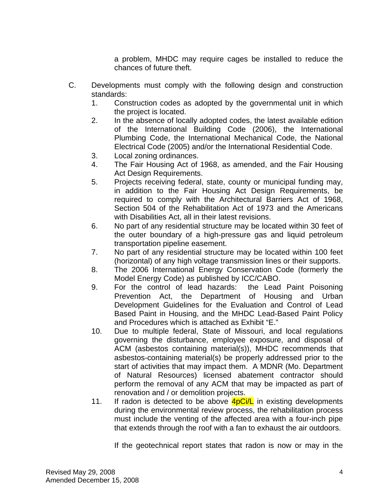a problem, MHDC may require cages be installed to reduce the chances of future theft.

- C. Developments must comply with the following design and construction standards:
	- 1. Construction codes as adopted by the governmental unit in which the project is located.
	- 2. In the absence of locally adopted codes, the latest available edition of the International Building Code (2006), the International Plumbing Code, the International Mechanical Code, the National Electrical Code (2005) and/or the International Residential Code.
	- 3. Local zoning ordinances.
	- 4. The Fair Housing Act of 1968, as amended, and the Fair Housing Act Design Requirements.
	- 5. Projects receiving federal, state, county or municipal funding may, in addition to the Fair Housing Act Design Requirements, be required to comply with the Architectural Barriers Act of 1968, Section 504 of the Rehabilitation Act of 1973 and the Americans with Disabilities Act, all in their latest revisions.
	- 6. No part of any residential structure may be located within 30 feet of the outer boundary of a high-pressure gas and liquid petroleum transportation pipeline easement.
	- 7. No part of any residential structure may be located within 100 feet (horizontal) of any high voltage transmission lines or their supports.
	- 8. The 2006 International Energy Conservation Code (formerly the Model Energy Code) as published by ICC/CABO.
	- 9. For the control of lead hazards: the Lead Paint Poisoning Prevention Act, the Department of Housing and Urban Development Guidelines for the Evaluation and Control of Lead Based Paint in Housing, and the MHDC Lead-Based Paint Policy and Procedures which is attached as Exhibit "E."
	- 10. Due to multiple federal, State of Missouri, and local regulations governing the disturbance, employee exposure, and disposal of ACM (asbestos containing material(s)), MHDC recommends that asbestos-containing material(s) be properly addressed prior to the start of activities that may impact them. A MDNR (Mo. Department of Natural Resources) licensed abatement contractor should perform the removal of any ACM that may be impacted as part of renovation and / or demolition projects.
	- 11. If radon is detected to be above  $4pCi/L$  in existing developments during the environmental review process, the rehabilitation process must include the venting of the affected area with a four-inch pipe that extends through the roof with a fan to exhaust the air outdoors.

If the geotechnical report states that radon is now or may in the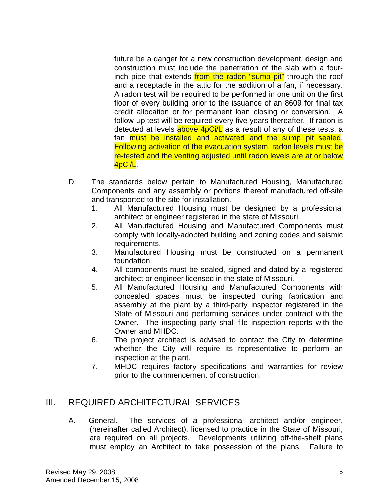future be a danger for a new construction development, design and construction must include the penetration of the slab with a fourinch pipe that extends from the radon "sump pit" through the roof and a receptacle in the attic for the addition of a fan, if necessary. A radon test will be required to be performed in one unit on the first floor of every building prior to the issuance of an 8609 for final tax credit allocation or for permanent loan closing or conversion. A follow-up test will be required every five years thereafter. If radon is detected at levels  $above\ 4pCi/L$  as a result of any of these tests, a fan **must be installed and activated and the sump pit sealed.** Following activation of the evacuation system, radon levels must be re-tested and the venting adjusted until radon levels are at or below 4pCi/L.

- D. The standards below pertain to Manufactured Housing, Manufactured Components and any assembly or portions thereof manufactured off-site and transported to the site for installation.
	- 1. All Manufactured Housing must be designed by a professional architect or engineer registered in the state of Missouri.
	- 2. All Manufactured Housing and Manufactured Components must comply with locally-adopted building and zoning codes and seismic requirements.
	- 3. Manufactured Housing must be constructed on a permanent foundation.
	- 4. All components must be sealed, signed and dated by a registered architect or engineer licensed in the state of Missouri.
	- 5. All Manufactured Housing and Manufactured Components with concealed spaces must be inspected during fabrication and assembly at the plant by a third-party inspector registered in the State of Missouri and performing services under contract with the Owner. The inspecting party shall file inspection reports with the Owner and MHDC.
	- 6. The project architect is advised to contact the City to determine whether the City will require its representative to perform an inspection at the plant.
	- 7. MHDC requires factory specifications and warranties for review prior to the commencement of construction.

# III. REQUIRED ARCHITECTURAL SERVICES

A. General. The services of a professional architect and/or engineer, (hereinafter called Architect), licensed to practice in the State of Missouri, are required on all projects. Developments utilizing off-the-shelf plans must employ an Architect to take possession of the plans. Failure to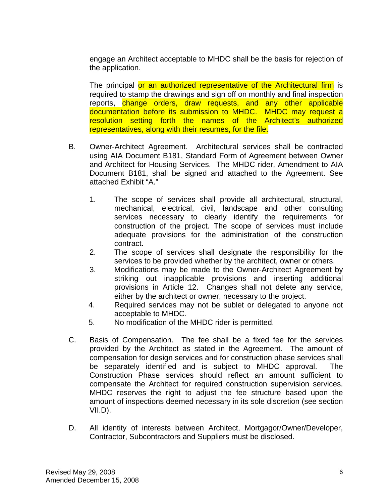engage an Architect acceptable to MHDC shall be the basis for rejection of the application.

The principal or an authorized representative of the Architectural firm is required to stamp the drawings and sign off on monthly and final inspection reports, change orders, draw requests, and any other applicable documentation before its submission to MHDC. MHDC may request a resolution setting forth the names of the Architect's authorized representatives, along with their resumes, for the file.

- B. Owner-Architect Agreement. Architectural services shall be contracted using AIA Document B181, Standard Form of Agreement between Owner and Architect for Housing Services. The MHDC rider, Amendment to AIA Document B181, shall be signed and attached to the Agreement. See attached Exhibit "A."
	- 1. The scope of services shall provide all architectural, structural, mechanical, electrical, civil, landscape and other consulting services necessary to clearly identify the requirements for construction of the project. The scope of services must include adequate provisions for the administration of the construction contract.
	- 2. The scope of services shall designate the responsibility for the services to be provided whether by the architect, owner or others.
	- 3. Modifications may be made to the Owner-Architect Agreement by striking out inapplicable provisions and inserting additional provisions in Article 12. Changes shall not delete any service, either by the architect or owner, necessary to the project.
	- 4. Required services may not be sublet or delegated to anyone not acceptable to MHDC.
	- 5. No modification of the MHDC rider is permitted.
- C. Basis of Compensation. The fee shall be a fixed fee for the services provided by the Architect as stated in the Agreement. The amount of compensation for design services and for construction phase services shall be separately identified and is subject to MHDC approval. The Construction Phase services should reflect an amount sufficient to compensate the Architect for required construction supervision services. MHDC reserves the right to adjust the fee structure based upon the amount of inspections deemed necessary in its sole discretion (see section VII.D).
- D. All identity of interests between Architect, Mortgagor/Owner/Developer, Contractor, Subcontractors and Suppliers must be disclosed.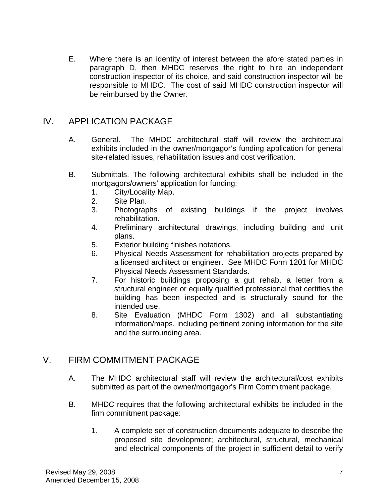E. Where there is an identity of interest between the afore stated parties in paragraph D, then MHDC reserves the right to hire an independent construction inspector of its choice, and said construction inspector will be responsible to MHDC. The cost of said MHDC construction inspector will be reimbursed by the Owner.

# IV. APPLICATION PACKAGE

- A. General. The MHDC architectural staff will review the architectural exhibits included in the owner/mortgagor's funding application for general site-related issues, rehabilitation issues and cost verification.
- B. Submittals. The following architectural exhibits shall be included in the mortgagors/owners' application for funding:
	- 1. City/Locality Map.
	- 2. Site Plan.
	- 3. Photographs of existing buildings if the project involves rehabilitation.
	- 4. Preliminary architectural drawings, including building and unit plans.
	- 5. Exterior building finishes notations.
	- 6. Physical Needs Assessment for rehabilitation projects prepared by a licensed architect or engineer. See MHDC Form 1201 for MHDC Physical Needs Assessment Standards.
	- 7. For historic buildings proposing a gut rehab, a letter from a structural engineer or equally qualified professional that certifies the building has been inspected and is structurally sound for the intended use.
	- 8. Site Evaluation (MHDC Form 1302) and all substantiating information/maps, including pertinent zoning information for the site and the surrounding area.

# V. FIRM COMMITMENT PACKAGE

- A. The MHDC architectural staff will review the architectural/cost exhibits submitted as part of the owner/mortgagor's Firm Commitment package.
- B. MHDC requires that the following architectural exhibits be included in the firm commitment package:
	- 1. A complete set of construction documents adequate to describe the proposed site development; architectural, structural, mechanical and electrical components of the project in sufficient detail to verify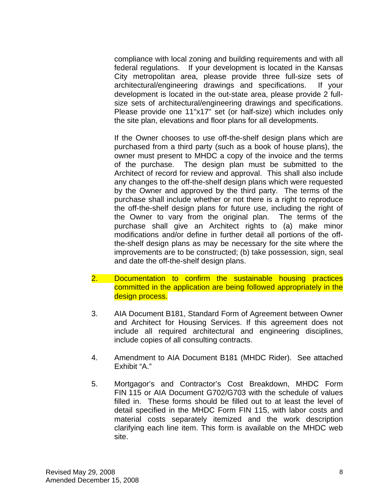compliance with local zoning and building requirements and with all federal regulations. If your development is located in the Kansas City metropolitan area, please provide three full-size sets of architectural/engineering drawings and specifications. If your development is located in the out-state area, please provide 2 fullsize sets of architectural/engineering drawings and specifications. Please provide one 11"x17" set (or half-size) which includes only the site plan, elevations and floor plans for all developments.

 If the Owner chooses to use off-the-shelf design plans which are purchased from a third party (such as a book of house plans), the owner must present to MHDC a copy of the invoice and the terms of the purchase. The design plan must be submitted to the Architect of record for review and approval. This shall also include any changes to the off-the-shelf design plans which were requested by the Owner and approved by the third party. The terms of the purchase shall include whether or not there is a right to reproduce the off-the-shelf design plans for future use, including the right of the Owner to vary from the original plan. The terms of the purchase shall give an Architect rights to (a) make minor modifications and/or define in further detail all portions of the offthe-shelf design plans as may be necessary for the site where the improvements are to be constructed; (b) take possession, sign, seal and date the off-the-shelf design plans.

- 2. Documentation to confirm the sustainable housing practices committed in the application are being followed appropriately in the design process.
- 3. AIA Document B181, Standard Form of Agreement between Owner and Architect for Housing Services. If this agreement does not include all required architectural and engineering disciplines, include copies of all consulting contracts.
- 4. Amendment to AIA Document B181 (MHDC Rider). See attached Exhibit "A."
- 5. Mortgagor's and Contractor's Cost Breakdown, MHDC Form FIN 115 or AIA Document G702/G703 with the schedule of values filled in. These forms should be filled out to at least the level of detail specified in the MHDC Form FIN 115, with labor costs and material costs separately itemized and the work description clarifying each line item. This form is available on the MHDC web site.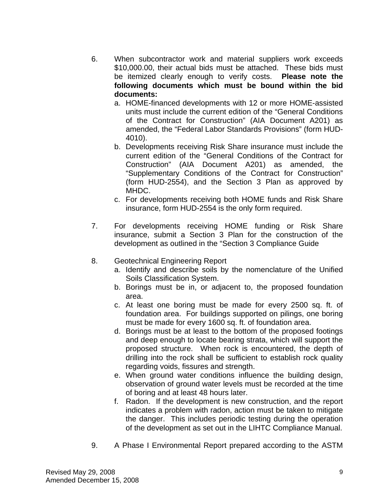- 6. When subcontractor work and material suppliers work exceeds \$10,000.00, their actual bids must be attached. These bids must be itemized clearly enough to verify costs. **Please note the following documents which must be bound within the bid documents:**
	- a. HOME-financed developments with 12 or more HOME-assisted units must include the current edition of the "General Conditions of the Contract for Construction" (AIA Document A201) as amended, the "Federal Labor Standards Provisions" (form HUD-4010).
	- b. Developments receiving Risk Share insurance must include the current edition of the "General Conditions of the Contract for Construction" (AIA Document A201) as amended, the "Supplementary Conditions of the Contract for Construction" (form HUD-2554), and the Section 3 Plan as approved by MHDC.
	- c. For developments receiving both HOME funds and Risk Share insurance, form HUD-2554 is the only form required.
- 7. For developments receiving HOME funding or Risk Share insurance, submit a Section 3 Plan for the construction of the development as outlined in the "Section 3 Compliance Guide
- 8. Geotechnical Engineering Report
	- a. Identify and describe soils by the nomenclature of the Unified Soils Classification System.
	- b. Borings must be in, or adjacent to, the proposed foundation area.
	- c. At least one boring must be made for every 2500 sq. ft. of foundation area. For buildings supported on pilings, one boring must be made for every 1600 sq. ft. of foundation area.
	- d. Borings must be at least to the bottom of the proposed footings and deep enough to locate bearing strata, which will support the proposed structure. When rock is encountered, the depth of drilling into the rock shall be sufficient to establish rock quality regarding voids, fissures and strength.
	- e. When ground water conditions influence the building design, observation of ground water levels must be recorded at the time of boring and at least 48 hours later.
	- f. Radon. If the development is new construction, and the report indicates a problem with radon, action must be taken to mitigate the danger. This includes periodic testing during the operation of the development as set out in the LIHTC Compliance Manual.
- 9. A Phase I Environmental Report prepared according to the ASTM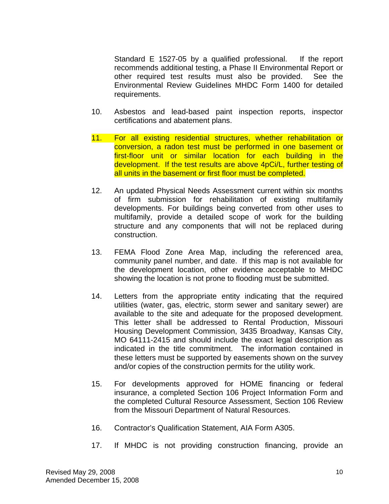Standard E 1527-05 by a qualified professional. If the report recommends additional testing, a Phase II Environmental Report or other required test results must also be provided. See the Environmental Review Guidelines MHDC Form 1400 for detailed requirements.

- 10. Asbestos and lead-based paint inspection reports, inspector certifications and abatement plans.
- 11. For all existing residential structures, whether rehabilitation or conversion, a radon test must be performed in one basement or first-floor unit or similar location for each building in the development. If the test results are above 4pCi/L, further testing of all units in the basement or first floor must be completed.
- 12. An updated Physical Needs Assessment current within six months of firm submission for rehabilitation of existing multifamily developments. For buildings being converted from other uses to multifamily, provide a detailed scope of work for the building structure and any components that will not be replaced during construction.
- 13. FEMA Flood Zone Area Map, including the referenced area, community panel number, and date. If this map is not available for the development location, other evidence acceptable to MHDC showing the location is not prone to flooding must be submitted.
- 14. Letters from the appropriate entity indicating that the required utilities (water, gas, electric, storm sewer and sanitary sewer) are available to the site and adequate for the proposed development. This letter shall be addressed to Rental Production, Missouri Housing Development Commission, 3435 Broadway, Kansas City, MO 64111-2415 and should include the exact legal description as indicated in the title commitment. The information contained in these letters must be supported by easements shown on the survey and/or copies of the construction permits for the utility work.
- 15. For developments approved for HOME financing or federal insurance, a completed Section 106 Project Information Form and the completed Cultural Resource Assessment, Section 106 Review from the Missouri Department of Natural Resources.
- 16. Contractor's Qualification Statement, AIA Form A305.
- 17. If MHDC is not providing construction financing, provide an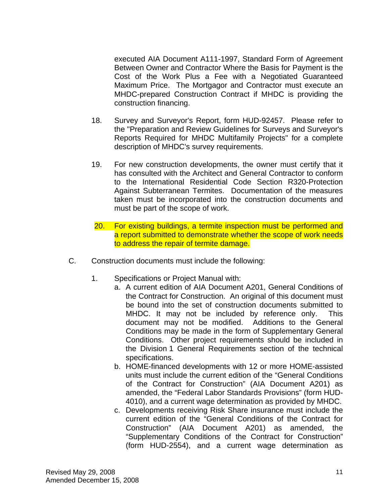executed AIA Document A111-1997, Standard Form of Agreement Between Owner and Contractor Where the Basis for Payment is the Cost of the Work Plus a Fee with a Negotiated Guaranteed Maximum Price. The Mortgagor and Contractor must execute an MHDC-prepared Construction Contract if MHDC is providing the construction financing.

- 18. Survey and Surveyor's Report, form HUD-92457. Please refer to the "Preparation and Review Guidelines for Surveys and Surveyor's Reports Required for MHDC Multifamily Projects" for a complete description of MHDC's survey requirements.
- 19. For new construction developments, the owner must certify that it has consulted with the Architect and General Contractor to conform to the International Residential Code Section R320-Protection Against Subterranean Termites. Documentation of the measures taken must be incorporated into the construction documents and must be part of the scope of work.
- 20. For existing buildings, a termite inspection must be performed and a report submitted to demonstrate whether the scope of work needs to address the repair of termite damage.
- C. Construction documents must include the following:
	- 1. Specifications or Project Manual with:
		- a. A current edition of AIA Document A201, General Conditions of the Contract for Construction. An original of this document must be bound into the set of construction documents submitted to MHDC. It may not be included by reference only. This document may not be modified. Additions to the General Conditions may be made in the form of Supplementary General Conditions. Other project requirements should be included in the Division 1 General Requirements section of the technical specifications.
		- b. HOME-financed developments with 12 or more HOME-assisted units must include the current edition of the "General Conditions of the Contract for Construction" (AIA Document A201) as amended, the "Federal Labor Standards Provisions" (form HUD-4010), and a current wage determination as provided by MHDC.
		- c. Developments receiving Risk Share insurance must include the current edition of the "General Conditions of the Contract for Construction" (AIA Document A201) as amended, the "Supplementary Conditions of the Contract for Construction" (form HUD-2554), and a current wage determination as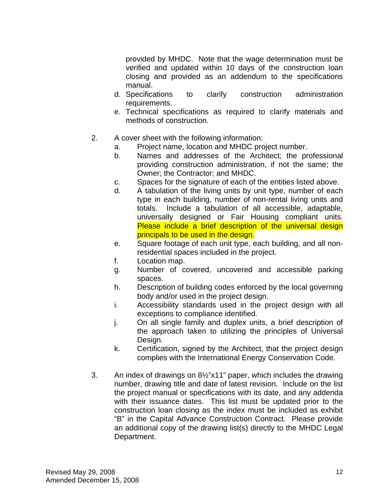provided by MHDC. Note that the wage determination must be verified and updated within 10 days of the construction loan closing and provided as an addendum to the specifications manual.

- d. Specifications to clarify construction administration requirements.
- e. Technical specifications as required to clarify materials and methods of construction.
- 2. A cover sheet with the following information:
	- a. Project name, location and MHDC project number.
	- b. Names and addresses of the Architect; the professional providing construction administration, if not the same; the Owner; the Contractor; and MHDC.
	- c. Spaces for the signature of each of the entities listed above.
	- d. A tabulation of the living units by unit type, number of each type in each building, number of non-rental living units and totals. Include a tabulation of all accessible, adaptable, universally designed or Fair Housing compliant units. Please include a brief description of the universal design principals to be used in the design.
	- e. Square footage of each unit type, each building, and all nonresidential spaces included in the project.
	- f. Location map.
	- g. Number of covered, uncovered and accessible parking spaces.
	- h. Description of building codes enforced by the local governing body and/or used in the project design.
	- i. Accessibility standards used in the project design with all exceptions to compliance identified.
	- j. On all single family and duplex units, a brief description of the approach taken to utilizing the principles of Universal Design.
	- k. Certification, signed by the Architect, that the project design complies with the International Energy Conservation Code.
- 3. An index of drawings on 8½"x11" paper, which includes the drawing number, drawing title and date of latest revision. Include on the list the project manual or specifications with its date, and any addenda with their issuance dates. This list must be updated prior to the construction loan closing as the index must be included as exhibit "B" in the Capital Advance Construction Contract. Please provide an additional copy of the drawing list(s) directly to the MHDC Legal Department.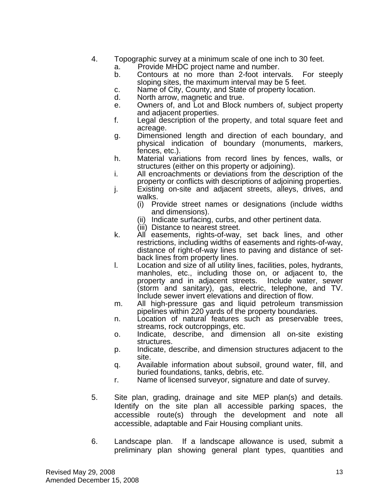- 4. Topographic survey at a minimum scale of one inch to 30 feet.
	- a. Provide MHDC project name and number.
	- b. Contours at no more than 2-foot intervals. For steeply sloping sites, the maximum interval may be 5 feet.
	- c. Name of City, County, and State of property location.
	- d. North arrow, magnetic and true.
	- e. Owners of, and Lot and Block numbers of, subject property and adjacent properties.
	- f. Legal description of the property, and total square feet and acreage.
	- g. Dimensioned length and direction of each boundary, and physical indication of boundary (monuments, markers, fences, etc.).
	- h. Material variations from record lines by fences, walls, or structures (either on this property or adjoining).
	- i. All encroachments or deviations from the description of the property or conflicts with descriptions of adjoining properties.
	- j. Existing on-site and adjacent streets, alleys, drives, and walks.
		- (i) Provide street names or designations (include widths and dimensions).
		- (ii) Indicate surfacing, curbs, and other pertinent data.
		- (iii) Distance to nearest street.
	- k. All easements, rights-of-way, set back lines, and other restrictions, including widths of easements and rights-of-way, distance of right-of-way lines to paving and distance of setback lines from property lines.
	- l. Location and size of all utility lines, facilities, poles, hydrants, manholes, etc., including those on, or adjacent to, the property and in adjacent streets. Include water, sewer (storm and sanitary), gas, electric, telephone, and TV. Include sewer invert elevations and direction of flow.
	- m. All high-pressure gas and liquid petroleum transmission pipelines within 220 yards of the property boundaries.
	- n. Location of natural features such as preservable trees, streams, rock outcroppings, etc.
	- o. Indicate, describe, and dimension all on-site existing structures.
	- p. Indicate, describe, and dimension structures adjacent to the site.
	- q. Available information about subsoil, ground water, fill, and buried foundations, tanks, debris, etc.
	- r. Name of licensed surveyor, signature and date of survey.
- 5. Site plan, grading, drainage and site MEP plan(s) and details. Identify on the site plan all accessible parking spaces, the accessible route(s) through the development and note all accessible, adaptable and Fair Housing compliant units.
- 6. Landscape plan. If a landscape allowance is used, submit a preliminary plan showing general plant types, quantities and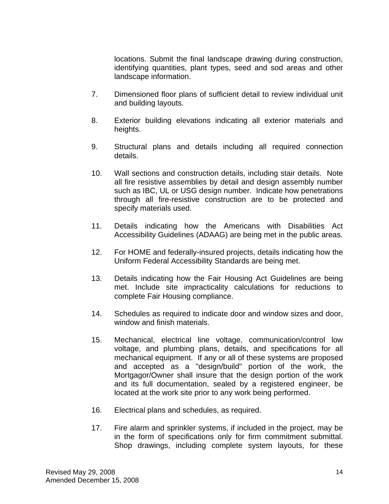locations. Submit the final landscape drawing during construction, identifying quantities, plant types, seed and sod areas and other landscape information.

- 7. Dimensioned floor plans of sufficient detail to review individual unit and building layouts.
- 8. Exterior building elevations indicating all exterior materials and heights.
- 9. Structural plans and details including all required connection details.
- 10. Wall sections and construction details, including stair details. Note all fire resistive assemblies by detail and design assembly number such as IBC, UL or USG design number. Indicate how penetrations through all fire-resistive construction are to be protected and specify materials used.
- 11. Details indicating how the Americans with Disabilities Act Accessibility Guidelines (ADAAG) are being met in the public areas.
- 12. For HOME and federally-insured projects, details indicating how the Uniform Federal Accessibility Standards are being met.
- 13. Details indicating how the Fair Housing Act Guidelines are being met. Include site impracticality calculations for reductions to complete Fair Housing compliance.
- 14. Schedules as required to indicate door and window sizes and door, window and finish materials.
- 15. Mechanical, electrical line voltage, communication/control low voltage, and plumbing plans, details, and specifications for all mechanical equipment. If any or all of these systems are proposed and accepted as a "design/build" portion of the work, the Mortgagor/Owner shall insure that the design portion of the work and its full documentation, sealed by a registered engineer, be located at the work site prior to any work being performed.
- 16. Electrical plans and schedules, as required.
- 17. Fire alarm and sprinkler systems, if included in the project, may be in the form of specifications only for firm commitment submittal. Shop drawings, including complete system layouts, for these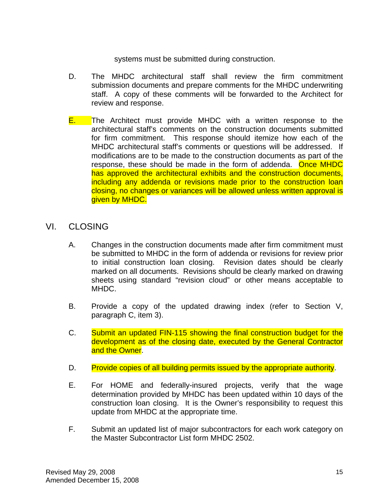systems must be submitted during construction.

- D. The MHDC architectural staff shall review the firm commitment submission documents and prepare comments for the MHDC underwriting staff. A copy of these comments will be forwarded to the Architect for review and response.
- **E.** The Architect must provide MHDC with a written response to the architectural staff's comments on the construction documents submitted for firm commitment. This response should itemize how each of the MHDC architectural staff's comments or questions will be addressed. If modifications are to be made to the construction documents as part of the response, these should be made in the form of addenda. Once MHDC has approved the architectural exhibits and the construction documents, including any addenda or revisions made prior to the construction loan closing, no changes or variances will be allowed unless written approval is given by MHDC.
- VI. CLOSING
	- A. Changes in the construction documents made after firm commitment must be submitted to MHDC in the form of addenda or revisions for review prior to initial construction loan closing. Revision dates should be clearly marked on all documents. Revisions should be clearly marked on drawing sheets using standard "revision cloud" or other means acceptable to MHDC.
	- B. Provide a copy of the updated drawing index (refer to Section V, paragraph C, item 3).
	- C. Submit an updated FIN-115 showing the final construction budget for the development as of the closing date, executed by the General Contractor and the Owner.
	- D. Provide copies of all building permits issued by the appropriate authority.
	- E. For HOME and federally-insured projects, verify that the wage determination provided by MHDC has been updated within 10 days of the construction loan closing. It is the Owner's responsibility to request this update from MHDC at the appropriate time.
	- F. Submit an updated list of major subcontractors for each work category on the Master Subcontractor List form MHDC 2502.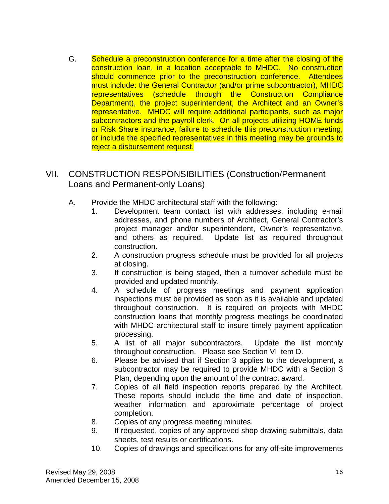G. Schedule a preconstruction conference for a time after the closing of the construction loan, in a location acceptable to MHDC. No construction should commence prior to the preconstruction conference. Attendees must include: the General Contractor (and/or prime subcontractor), MHDC representatives (schedule through the Construction Compliance Department), the project superintendent, the Architect and an Owner's representative. MHDC will require additional participants, such as major subcontractors and the payroll clerk. On all projects utilizing HOME funds or Risk Share insurance, failure to schedule this preconstruction meeting, or include the specified representatives in this meeting may be grounds to reject a disbursement request.

# VII. CONSTRUCTION RESPONSIBILITIES (Construction/Permanent Loans and Permanent-only Loans)

- A. Provide the MHDC architectural staff with the following:
	- 1. Development team contact list with addresses, including e-mail addresses, and phone numbers of Architect, General Contractor's project manager and/or superintendent, Owner's representative, and others as required. Update list as required throughout construction.
	- 2. A construction progress schedule must be provided for all projects at closing.
	- 3. If construction is being staged, then a turnover schedule must be provided and updated monthly.
	- 4. A schedule of progress meetings and payment application inspections must be provided as soon as it is available and updated throughout construction. It is required on projects with MHDC construction loans that monthly progress meetings be coordinated with MHDC architectural staff to insure timely payment application processing.
	- 5. A list of all major subcontractors. Update the list monthly throughout construction. Please see Section VI item D.
	- 6. Please be advised that if Section 3 applies to the development, a subcontractor may be required to provide MHDC with a Section 3 Plan, depending upon the amount of the contract award.
	- 7. Copies of all field inspection reports prepared by the Architect. These reports should include the time and date of inspection, weather information and approximate percentage of project completion.
	- 8. Copies of any progress meeting minutes.
	- 9. If requested, copies of any approved shop drawing submittals, data sheets, test results or certifications.
	- 10. Copies of drawings and specifications for any off-site improvements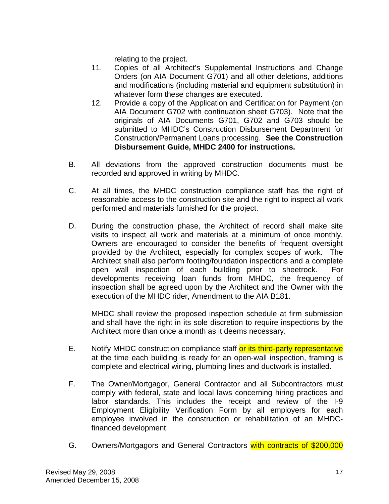relating to the project.

- 11. Copies of all Architect's Supplemental Instructions and Change Orders (on AIA Document G701) and all other deletions, additions and modifications (including material and equipment substitution) in whatever form these changes are executed.
- 12. Provide a copy of the Application and Certification for Payment (on AIA Document G702 with continuation sheet G703). Note that the originals of AIA Documents G701, G702 and G703 should be submitted to MHDC's Construction Disbursement Department for Construction/Permanent Loans processing. **See the Construction Disbursement Guide, MHDC 2400 for instructions.**
- B. All deviations from the approved construction documents must be recorded and approved in writing by MHDC.
- C. At all times, the MHDC construction compliance staff has the right of reasonable access to the construction site and the right to inspect all work performed and materials furnished for the project.
- D. During the construction phase, the Architect of record shall make site visits to inspect all work and materials at a minimum of once monthly. Owners are encouraged to consider the benefits of frequent oversight provided by the Architect, especially for complex scopes of work. The Architect shall also perform footing/foundation inspections and a complete open wall inspection of each building prior to sheetrock. For developments receiving loan funds from MHDC, the frequency of inspection shall be agreed upon by the Architect and the Owner with the execution of the MHDC rider, Amendment to the AIA B181.

MHDC shall review the proposed inspection schedule at firm submission and shall have the right in its sole discretion to require inspections by the Architect more than once a month as it deems necessary.

- E. Notify MHDC construction compliance staff or its third-party representative at the time each building is ready for an open-wall inspection, framing is complete and electrical wiring, plumbing lines and ductwork is installed.
- F. The Owner/Mortgagor, General Contractor and all Subcontractors must comply with federal, state and local laws concerning hiring practices and labor standards. This includes the receipt and review of the I-9 Employment Eligibility Verification Form by all employers for each employee involved in the construction or rehabilitation of an MHDCfinanced development.
- G. Owners/Mortgagors and General Contractors with contracts of \$200,000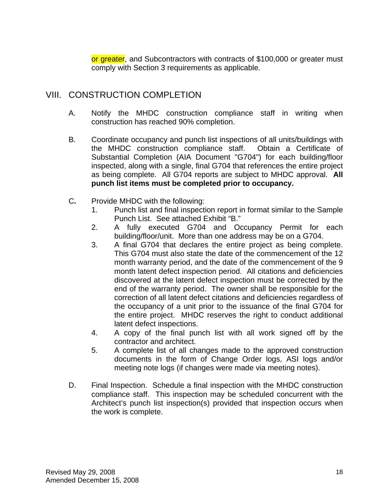or greater, and Subcontractors with contracts of \$100,000 or greater must comply with Section 3 requirements as applicable.

# VIII. CONSTRUCTION COMPLETION

- A. Notify the MHDC construction compliance staff in writing when construction has reached 90% completion.
- B. Coordinate occupancy and punch list inspections of all units/buildings with the MHDC construction compliance staff. Obtain a Certificate of Substantial Completion (AIA Document "G704") for each building/floor inspected, along with a single, final G704 that references the entire project as being complete. All G704 reports are subject to MHDC approval. **All punch list items must be completed prior to occupancy.**
- C**.** Provide MHDC with the following:
	- 1. Punch list and final inspection report in format similar to the Sample Punch List. See attached Exhibit "B."
	- 2. A fully executed G704 and Occupancy Permit for each building/floor/unit. More than one address may be on a G704.
	- 3. A final G704 that declares the entire project as being complete. This G704 must also state the date of the commencement of the 12 month warranty period, and the date of the commencement of the 9 month latent defect inspection period. All citations and deficiencies discovered at the latent defect inspection must be corrected by the end of the warranty period. The owner shall be responsible for the correction of all latent defect citations and deficiencies regardless of the occupancy of a unit prior to the issuance of the final G704 for the entire project. MHDC reserves the right to conduct additional latent defect inspections.
	- 4. A copy of the final punch list with all work signed off by the contractor and architect.
	- 5. A complete list of all changes made to the approved construction documents in the form of Change Order logs, ASI logs and/or meeting note logs (if changes were made via meeting notes).
- D. Final Inspection. Schedule a final inspection with the MHDC construction compliance staff. This inspection may be scheduled concurrent with the Architect's punch list inspection(s) provided that inspection occurs when the work is complete.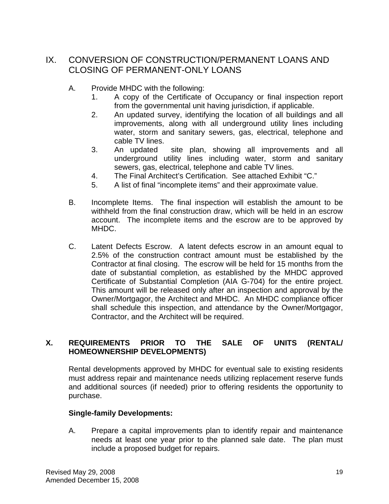# IX. CONVERSION OF CONSTRUCTION/PERMANENT LOANS AND CLOSING OF PERMANENT-ONLY LOANS

- A. Provide MHDC with the following:
	- 1. A copy of the Certificate of Occupancy or final inspection report from the governmental unit having jurisdiction, if applicable.
	- 2. An updated survey, identifying the location of all buildings and all improvements, along with all underground utility lines including water, storm and sanitary sewers, gas, electrical, telephone and cable TV lines.
	- 3. An updated site plan, showing all improvements and all underground utility lines including water, storm and sanitary sewers, gas, electrical, telephone and cable TV lines.
	- 4. The Final Architect's Certification. See attached Exhibit "C."
	- 5. A list of final "incomplete items" and their approximate value.
- B. Incomplete Items. The final inspection will establish the amount to be withheld from the final construction draw, which will be held in an escrow account. The incomplete items and the escrow are to be approved by MHDC.
- C. Latent Defects Escrow. A latent defects escrow in an amount equal to 2.5% of the construction contract amount must be established by the Contractor at final closing. The escrow will be held for 15 months from the date of substantial completion, as established by the MHDC approved Certificate of Substantial Completion (AIA G-704) for the entire project. This amount will be released only after an inspection and approval by the Owner/Mortgagor, the Architect and MHDC. An MHDC compliance officer shall schedule this inspection, and attendance by the Owner/Mortgagor, Contractor, and the Architect will be required.

# **X. REQUIREMENTS PRIOR TO THE SALE OF UNITS (RENTAL/ HOMEOWNERSHIP DEVELOPMENTS)**

 Rental developments approved by MHDC for eventual sale to existing residents must address repair and maintenance needs utilizing replacement reserve funds and additional sources (if needed) prior to offering residents the opportunity to purchase.

### **Single-family Developments:**

 A. Prepare a capital improvements plan to identify repair and maintenance needs at least one year prior to the planned sale date. The plan must include a proposed budget for repairs.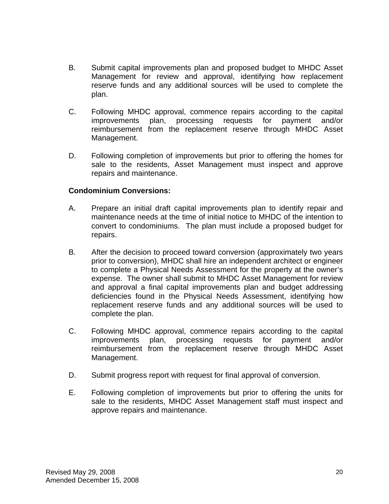- B. Submit capital improvements plan and proposed budget to MHDC Asset Management for review and approval, identifying how replacement reserve funds and any additional sources will be used to complete the plan.
- C. Following MHDC approval, commence repairs according to the capital improvements plan, processing requests for payment and/or reimbursement from the replacement reserve through MHDC Asset Management.
- D. Following completion of improvements but prior to offering the homes for sale to the residents, Asset Management must inspect and approve repairs and maintenance.

### **Condominium Conversions:**

- A. Prepare an initial draft capital improvements plan to identify repair and maintenance needs at the time of initial notice to MHDC of the intention to convert to condominiums. The plan must include a proposed budget for repairs.
- B. After the decision to proceed toward conversion (approximately two years prior to conversion), MHDC shall hire an independent architect or engineer to complete a Physical Needs Assessment for the property at the owner's expense. The owner shall submit to MHDC Asset Management for review and approval a final capital improvements plan and budget addressing deficiencies found in the Physical Needs Assessment, identifying how replacement reserve funds and any additional sources will be used to complete the plan.
- C. Following MHDC approval, commence repairs according to the capital improvements plan, processing requests for payment and/or reimbursement from the replacement reserve through MHDC Asset Management.
- D. Submit progress report with request for final approval of conversion.
- E. Following completion of improvements but prior to offering the units for sale to the residents, MHDC Asset Management staff must inspect and approve repairs and maintenance.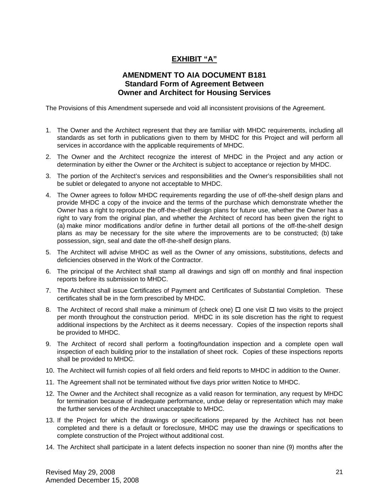# **EXHIBIT "A"**

# **AMENDMENT TO AIA DOCUMENT B181 Standard Form of Agreement Between Owner and Architect for Housing Services**

The Provisions of this Amendment supersede and void all inconsistent provisions of the Agreement.

- 1. The Owner and the Architect represent that they are familiar with MHDC requirements, including all standards as set forth in publications given to them by MHDC for this Project and will perform all services in accordance with the applicable requirements of MHDC.
- 2. The Owner and the Architect recognize the interest of MHDC in the Project and any action or determination by either the Owner or the Architect is subject to acceptance or rejection by MHDC.
- 3. The portion of the Architect's services and responsibilities and the Owner's responsibilities shall not be sublet or delegated to anyone not acceptable to MHDC.
- 4. The Owner agrees to follow MHDC requirements regarding the use of off-the-shelf design plans and provide MHDC a copy of the invoice and the terms of the purchase which demonstrate whether the Owner has a right to reproduce the off-the-shelf design plans for future use, whether the Owner has a right to vary from the original plan, and whether the Architect of record has been given the right to (a) make minor modifications and/or define in further detail all portions of the off-the-shelf design plans as may be necessary for the site where the improvements are to be constructed; (b) take possession, sign, seal and date the off-the-shelf design plans.
- 5. The Architect will advise MHDC as well as the Owner of any omissions, substitutions, defects and deficiencies observed in the Work of the Contractor.
- 6. The principal of the Architect shall stamp all drawings and sign off on monthly and final inspection reports before its submission to MHDC.
- 7. The Architect shall issue Certificates of Payment and Certificates of Substantial Completion. These certificates shall be in the form prescribed by MHDC.
- 8. The Architect of record shall make a minimum of (check one)  $\Box$  one visit  $\Box$  two visits to the project per month throughout the construction period. MHDC in its sole discretion has the right to request additional inspections by the Architect as it deems necessary. Copies of the inspection reports shall be provided to MHDC.
- 9. The Architect of record shall perform a footing/foundation inspection and a complete open wall inspection of each building prior to the installation of sheet rock. Copies of these inspections reports shall be provided to MHDC.
- 10. The Architect will furnish copies of all field orders and field reports to MHDC in addition to the Owner.
- 11. The Agreement shall not be terminated without five days prior written Notice to MHDC.
- 12. The Owner and the Architect shall recognize as a valid reason for termination, any request by MHDC for termination because of inadequate performance, undue delay or representation which may make the further services of the Architect unacceptable to MHDC.
- 13. If the Project for which the drawings or specifications prepared by the Architect has not been completed and there is a default or foreclosure, MHDC may use the drawings or specifications to complete construction of the Project without additional cost.
- 14. The Architect shall participate in a latent defects inspection no sooner than nine (9) months after the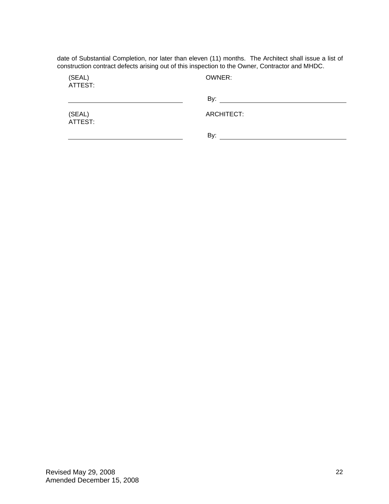date of Substantial Completion, nor later than eleven (11) months. The Architect shall issue a list of construction contract defects arising out of this inspection to the Owner, Contractor and MHDC.

ATTEST:

(SEAL) OWNER:

|                   | By:        |
|-------------------|------------|
| (SEAL)<br>ATTEST: | ARCHITECT: |
|                   | By:        |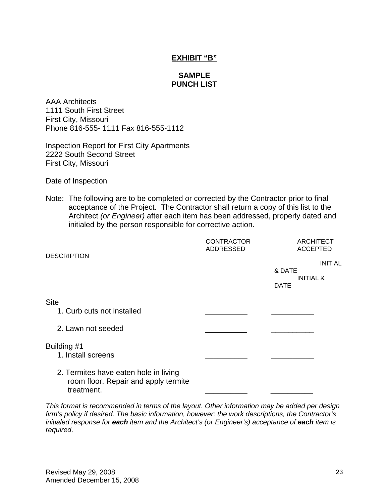### **EXHIBIT "B"**

### **SAMPLE PUNCH LIST**

AAA Architects 1111 South First Street First City, Missouri Phone 816-555- 1111 Fax 816-555-1112

Inspection Report for First City Apartments 2222 South Second Street First City, Missouri

Date of Inspection

Note: The following are to be completed or corrected by the Contractor prior to final acceptance of the Project. The Contractor shall return a copy of this list to the Architect *(or Engineer)* after each item has been addressed, properly dated and initialed by the person responsible for corrective action.

|                                                                                             | <b>CONTRACTOR</b><br><b>ADDRESSED</b> | <b>ARCHITECT</b><br><b>ACCEPTED</b>                             |
|---------------------------------------------------------------------------------------------|---------------------------------------|-----------------------------------------------------------------|
| <b>DESCRIPTION</b>                                                                          |                                       | <b>INITIAL</b><br>& DATE<br><b>INITIAL &amp;</b><br><b>DATE</b> |
| <b>Site</b><br>1. Curb cuts not installed                                                   |                                       |                                                                 |
| 2. Lawn not seeded                                                                          |                                       |                                                                 |
| Building #1<br>1. Install screens                                                           |                                       |                                                                 |
| 2. Termites have eaten hole in living<br>room floor. Repair and apply termite<br>treatment. |                                       |                                                                 |

*This format is recommended in terms of the layout. Other information may be added per design firm's policy if desired. The basic information, however; the work descriptions, the Contractor's initialed response for each item and the Architect's (or Engineer's) acceptance of each item is required*.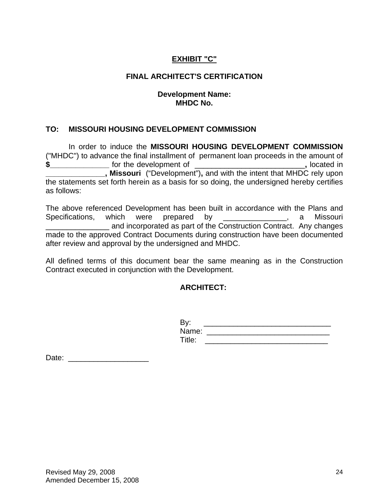# **EXHIBIT "C"**

## **FINAL ARCHITECT'S CERTIFICATION**

### **Development Name: MHDC No.**

# **TO: MISSOURI HOUSING DEVELOPMENT COMMISSION**

In order to induce the **MISSOURI HOUSING DEVELOPMENT COMMISSION** ("MHDC") to advance the final installment of permanent loan proceeds in the amount of **\$\_\_\_\_\_\_\_\_\_\_\_\_\_\_** for the development of \_\_\_\_\_\_\_\_\_\_\_\_\_\_\_\_\_\_\_\_\_\_\_\_\_\_**,** located in **Missouri** ("Development"), and with the intent that MHDC rely upon the statements set forth herein as a basis for so doing, the undersigned hereby certifies as follows:

The above referenced Development has been built in accordance with the Plans and Specifications, which were prepared by \_\_\_\_\_\_\_\_\_\_\_\_\_, a Missouri and incorporated as part of the Construction Contract. Any changes made to the approved Contract Documents during construction have been documented after review and approval by the undersigned and MHDC.

All defined terms of this document bear the same meaning as in the Construction Contract executed in conjunction with the Development.

### **ARCHITECT:**

| $D_{1}$<br>Dy |  |
|---------------|--|
| Name:         |  |
| Title:        |  |

Date: \_\_\_\_\_\_\_\_\_\_\_\_\_\_\_\_\_\_\_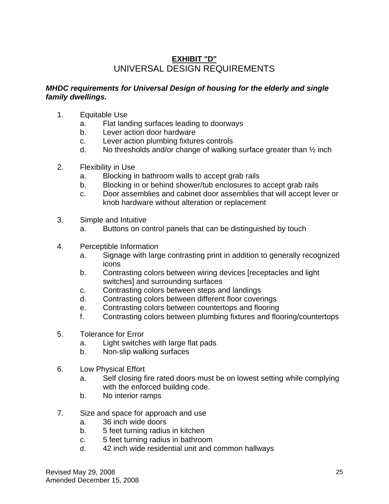# **EXHIBIT "D"** UNIVERSAL DESIGN REQUIREMENTS

## *MHDC requirements for Universal Design of housing for the elderly and single family dwellings.*

- 1. Equitable Use
	- a. Flat landing surfaces leading to doorways
	- b. Lever action door hardware
	- c. Lever action plumbing fixtures controls
	- d. No thresholds and/or change of walking surface greater than  $\frac{1}{2}$  inch
- 2. Flexibility in Use
	- a. Blocking in bathroom walls to accept grab rails
	- b. Blocking in or behind shower/tub enclosures to accept grab rails
	- c. Door assemblies and cabinet door assemblies that will accept lever or knob hardware without alteration or replacement
- 3. Simple and Intuitive
	- a. Buttons on control panels that can be distinguished by touch
- 4. Perceptible Information
	- a. Signage with large contrasting print in addition to generally recognized icons
	- b. Contrasting colors between wiring devices [receptacles and light switches] and surrounding surfaces
	- c. Contrasting colors between steps and landings
	- d. Contrasting colors between different floor coverings
	- e. Contrasting colors between countertops and flooring
	- f. Contrasting colors between plumbing fixtures and flooring/countertops
- 5. Tolerance for Error
	- a. Light switches with large flat pads
	- b. Non-slip walking surfaces
- 6. Low Physical Effort
	- a. Self closing fire rated doors must be on lowest setting while complying with the enforced building code.
	- b. No interior ramps
- 7. Size and space for approach and use
	- a. 36 inch wide doors
	- b. 5 feet turning radius in kitchen
	- c. 5 feet turning radius in bathroom
	- d. 42 inch wide residential unit and common hallways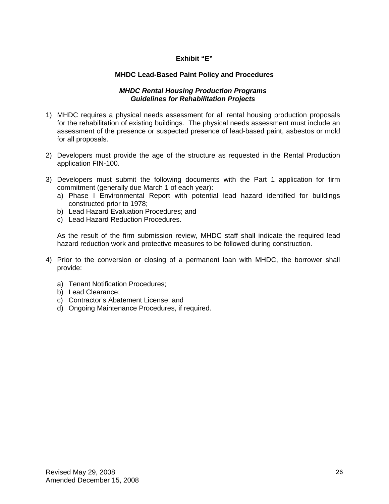### **Exhibit "E"**

#### **MHDC Lead-Based Paint Policy and Procedures**

#### *MHDC Rental Housing Production Programs Guidelines for Rehabilitation Projects*

- 1) MHDC requires a physical needs assessment for all rental housing production proposals for the rehabilitation of existing buildings. The physical needs assessment must include an assessment of the presence or suspected presence of lead-based paint, asbestos or mold for all proposals.
- 2) Developers must provide the age of the structure as requested in the Rental Production application FIN-100.
- 3) Developers must submit the following documents with the Part 1 application for firm commitment (generally due March 1 of each year):
	- a) Phase I Environmental Report with potential lead hazard identified for buildings constructed prior to 1978;
	- b) Lead Hazard Evaluation Procedures; and
	- c) Lead Hazard Reduction Procedures.

As the result of the firm submission review, MHDC staff shall indicate the required lead hazard reduction work and protective measures to be followed during construction.

- 4) Prior to the conversion or closing of a permanent loan with MHDC, the borrower shall provide:
	- a) Tenant Notification Procedures;
	- b) Lead Clearance;
	- c) Contractor's Abatement License; and
	- d) Ongoing Maintenance Procedures, if required.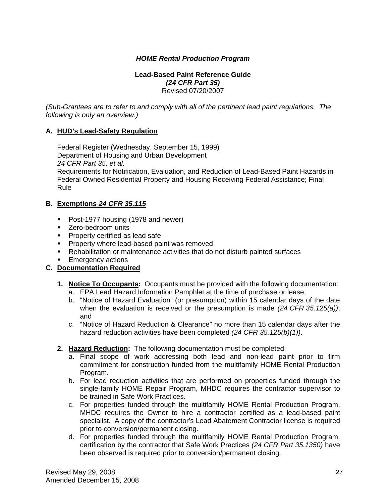### *HOME Rental Production Program*

#### **Lead-Based Paint Reference Guide**  *(24 CFR Part 35)*  Revised 07/20/2007

*(Sub-Grantees are to refer to and comply with all of the pertinent lead paint regulations. The following is only an overview.)* 

#### **A. HUD's Lead-Safety Regulation**

 Federal Register (Wednesday, September 15, 1999) Department of Housing and Urban Development  *24 CFR Part 35, et al.*  Requirements for Notification, Evaluation, and Reduction of Lead-Based Paint Hazards in Federal Owned Residential Property and Housing Receiving Federal Assistance; Final Rule

#### **B. Exemptions** *24 CFR 35.115*

- **Post-1977 housing (1978 and newer)**
- **EXEC** Zero-bedroom units
- **Property certified as lead safe**
- **Property where lead-based paint was removed**
- Rehabilitation or maintenance activities that do not disturb painted surfaces
- **Emergency actions**

#### **C. Documentation Required**

- **1. Notice To Occupants:** Occupants must be provided with the following documentation: a. EPA Lead Hazard Information Pamphlet at the time of purchase or lease;
	-
	- b. "Notice of Hazard Evaluation" (or presumption) within 15 calendar days of the date when the evaluation is received or the presumption is made *(24 CFR 35.125(a))*; and
	- c. "Notice of Hazard Reduction & Clearance" no more than 15 calendar days after the hazard reduction activities have been completed *(24 CFR 35.125(b)(1))*.
- **2. Hazard Reduction:** The following documentation must be completed:
	- a. Final scope of work addressing both lead and non-lead paint prior to firm commitment for construction funded from the multifamily HOME Rental Production Program.
	- b. For lead reduction activities that are performed on properties funded through the single-family HOME Repair Program, MHDC requires the contractor supervisor to be trained in Safe Work Practices.
	- c. For properties funded through the multifamily HOME Rental Production Program, MHDC requires the Owner to hire a contractor certified as a lead-based paint specialist. A copy of the contractor's Lead Abatement Contractor license is required prior to conversion/permanent closing.
	- d. For properties funded through the multifamily HOME Rental Production Program, certification by the contractor that Safe Work Practices *(24 CFR Part 35.1350)* have been observed is required prior to conversion/permanent closing.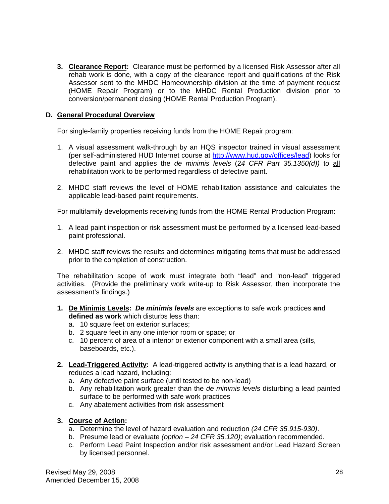**3. Clearance Report:** Clearance must be performed by a licensed Risk Assessor after all rehab work is done, with a copy of the clearance report and qualifications of the Risk Assessor sent to the MHDC Homeownership division at the time of payment request (HOME Repair Program) or to the MHDC Rental Production division prior to conversion/permanent closing (HOME Rental Production Program).

#### **D. General Procedural Overview**

For single-family properties receiving funds from the HOME Repair program:

- 1. A visual assessment walk-through by an HQS inspector trained in visual assessment (per self-administered HUD Internet course at http://www.hud.gov/offices/lead) looks for defective paint and applies the *de minimis levels* (2*4 CFR Part 35.1350(d))* to all rehabilitation work to be performed regardless of defective paint.
- 2. MHDC staff reviews the level of HOME rehabilitation assistance and calculates the applicable lead-based paint requirements.

For multifamily developments receiving funds from the HOME Rental Production Program:

- 1. A lead paint inspection or risk assessment must be performed by a licensed lead-based paint professional.
- 2. MHDC staff reviews the results and determines mitigating items that must be addressed prior to the completion of construction.

 The rehabilitation scope of work must integrate both "lead" and "non-lead" triggered activities. (Provide the preliminary work write-up to Risk Assessor, then incorporate the assessment's findings.)

- **1. De Minimis Levels:** *De minimis levels* are exception**s** to safe work practices **and defined as work** which disturbs less than:
	- a. 10 square feet on exterior surfaces;
	- b. 2 square feet in any one interior room or space; or
	- c. 10 percent of area of a interior or exterior component with a small area (sills, baseboards, etc.).
- **2. Lead-Triggered Activity:** A lead-triggered activity is anything that is a lead hazard, or reduces a lead hazard, including:
	- a. Any defective paint surface (until tested to be non-lead)
	- b. Any rehabilitation work greater than the *de minimis levels* disturbing a lead painted surface to be performed with safe work practices
	- c. Any abatement activities from risk assessment

#### **3. Course of Action:**

- a. Determine the level of hazard evaluation and reduction *(24 CFR 35.915-930)*.
- b. Presume lead or evaluate *(option 24 CFR 35.120)*; evaluation recommended.
- c. Perform Lead Paint Inspection and/or risk assessment and/or Lead Hazard Screen by licensed personnel.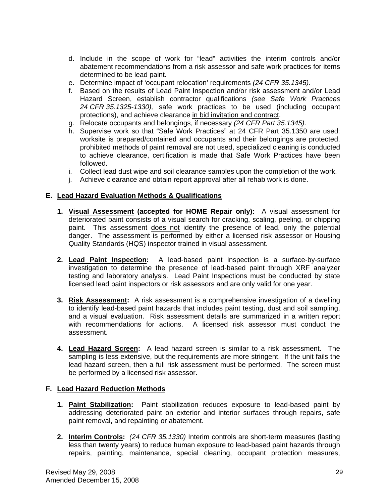- d. Include in the scope of work for "lead" activities the interim controls and/or abatement recommendations from a risk assessor and safe work practices for items determined to be lead paint.
- e. Determine impact of 'occupant relocation' requirements *(24 CFR 35.1345)*.
- f. Based on the results of Lead Paint Inspection and/or risk assessment and/or Lead Hazard Screen, establish contractor qualifications *(see Safe Work Practices 24 CFR 35.1325-1330),* safe work practices to be used (including occupant protections), and achieve clearance in bid invitation and contract.
- g. Relocate occupants and belongings, if necessary *(24 CFR Part 35.1345)*.
- h. Supervise work so that "Safe Work Practices" at 24 CFR Part 35.1350 are used: worksite is prepared/contained and occupants and their belongings are protected, prohibited methods of paint removal are not used, specialized cleaning is conducted to achieve clearance, certification is made that Safe Work Practices have been followed.
- i. Collect lead dust wipe and soil clearance samples upon the completion of the work.
- j. Achieve clearance and obtain report approval after all rehab work is done.

#### **E. Lead Hazard Evaluation Methods & Qualifications**

- **1. Visual Assessment (accepted for HOME Repair only):** A visual assessment for deteriorated paint consists of a visual search for cracking, scaling, peeling, or chipping paint. This assessment does not identify the presence of lead, only the potential danger. The assessment is performed by either a licensed risk assessor or Housing Quality Standards (HQS) inspector trained in visual assessment.
- **2. Lead Paint Inspection:** A lead-based paint inspection is a surface-by-surface investigation to determine the presence of lead-based paint through XRF analyzer testing and laboratory analysis. Lead Paint Inspections must be conducted by state licensed lead paint inspectors or risk assessors and are only valid for one year.
- **3. Risk Assessment:** A risk assessment is a comprehensive investigation of a dwelling to identify lead-based paint hazards that includes paint testing, dust and soil sampling, and a visual evaluation. Risk assessment details are summarized in a written report with recommendations for actions. A licensed risk assessor must conduct the assessment.
- **4. Lead Hazard Screen:** A lead hazard screen is similar to a risk assessment. The sampling is less extensive, but the requirements are more stringent. If the unit fails the lead hazard screen, then a full risk assessment must be performed. The screen must be performed by a licensed risk assessor.

#### **F. Lead Hazard Reduction Methods**

- **1. Paint Stabilization:** Paint stabilization reduces exposure to lead-based paint by addressing deteriorated paint on exterior and interior surfaces through repairs, safe paint removal, and repainting or abatement.
- **2. Interim Controls:** *(24 CFR 35.1330)* Interim controls are short-term measures (lasting less than twenty years) to reduce human exposure to lead-based paint hazards through repairs, painting, maintenance, special cleaning, occupant protection measures,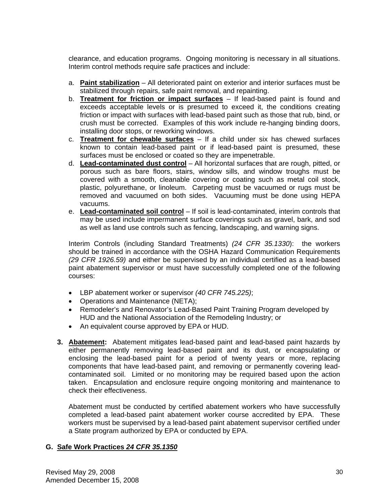clearance, and education programs. Ongoing monitoring is necessary in all situations. Interim control methods require safe practices and include:

- a. **Paint stabilization** All deteriorated paint on exterior and interior surfaces must be stabilized through repairs, safe paint removal, and repainting.
- b. **Treatment for friction or impact surfaces** If lead-based paint is found and exceeds acceptable levels or is presumed to exceed it, the conditions creating friction or impact with surfaces with lead-based paint such as those that rub, bind, or crush must be corrected. Examples of this work include re-hanging binding doors, installing door stops, or reworking windows.
- c. **Treatment for chewable surfaces** If a child under six has chewed surfaces known to contain lead-based paint or if lead-based paint is presumed, these surfaces must be enclosed or coated so they are impenetrable.
- d. **Lead-contaminated dust control** All horizontal surfaces that are rough, pitted, or porous such as bare floors, stairs, window sills, and window troughs must be covered with a smooth, cleanable covering or coating such as metal coil stock, plastic, polyurethane, or linoleum. Carpeting must be vacuumed or rugs must be removed and vacuumed on both sides. Vacuuming must be done using HEPA vacuums.
- e. **Lead-contaminated soil control** If soil is lead-contaminated, interim controls that may be used include impermanent surface coverings such as gravel, bark, and sod as well as land use controls such as fencing, landscaping, and warning signs.

Interim Controls (including Standard Treatments) *(24 CFR 35.1330*): the workers should be trained in accordance with the OSHA Hazard Communication Requirements *(29 CFR 1926.59)* and either be supervised by an individual certified as a lead-based paint abatement supervisor or must have successfully completed one of the following courses:

- LBP abatement worker or supervisor *(40 CFR 745.225)*;
- Operations and Maintenance (NETA);
- Remodeler's and Renovator's Lead-Based Paint Training Program developed by HUD and the National Association of the Remodeling Industry; or
- An equivalent course approved by EPA or HUD.
- **3. Abatement:** Abatement mitigates lead-based paint and lead-based paint hazards by either permanently removing lead-based paint and its dust, or encapsulating or enclosing the lead-based paint for a period of twenty years or more, replacing components that have lead-based paint, and removing or permanently covering leadcontaminated soil. Limited or no monitoring may be required based upon the action taken. Encapsulation and enclosure require ongoing monitoring and maintenance to check their effectiveness.

 Abatement must be conducted by certified abatement workers who have successfully completed a lead-based paint abatement worker course accredited by EPA. These workers must be supervised by a lead-based paint abatement supervisor certified under a State program authorized by EPA or conducted by EPA.

#### **G. Safe Work Practices** *24 CFR 35.1350*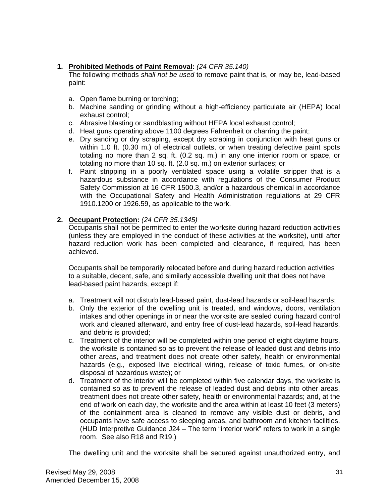### **1. Prohibited Methods of Paint Removal:** *(24 CFR 35.140)*

 The following methods *shall not be used* to remove paint that is, or may be, lead-based paint:

- a. Open flame burning or torching;
- b. Machine sanding or grinding without a high-efficiency particulate air (HEPA) local exhaust control;
- c. Abrasive blasting or sandblasting without HEPA local exhaust control;
- d. Heat guns operating above 1100 degrees Fahrenheit or charring the paint;
- e. Dry sanding or dry scraping, except dry scraping in conjunction with heat guns or within 1.0 ft. (0.30 m.) of electrical outlets, or when treating defective paint spots totaling no more than 2 sq. ft. (0.2 sq. m.) in any one interior room or space, or totaling no more than 10 sq. ft. (2.0 sq. m.) on exterior surfaces; or
- f. Paint stripping in a poorly ventilated space using a volatile stripper that is a hazardous substance in accordance with regulations of the Consumer Product Safety Commission at 16 CFR 1500.3, and/or a hazardous chemical in accordance with the Occupational Safety and Health Administration regulations at 29 CFR 1910.1200 or 1926.59, as applicable to the work.

### **2. Occupant Protection:** *(24 CFR 35.1345)*

Occupants shall not be permitted to enter the worksite during hazard reduction activities (unless they are employed in the conduct of these activities at the worksite), until after hazard reduction work has been completed and clearance, if required, has been achieved.

Occupants shall be temporarily relocated before and during hazard reduction activities to a suitable, decent, safe, and similarly accessible dwelling unit that does not have lead-based paint hazards, except if:

- a. Treatment will not disturb lead-based paint, dust-lead hazards or soil-lead hazards;
- b. Only the exterior of the dwelling unit is treated, and windows, doors, ventilation intakes and other openings in or near the worksite are sealed during hazard control work and cleaned afterward, and entry free of dust-lead hazards, soil-lead hazards, and debris is provided;
- c. Treatment of the interior will be completed within one period of eight daytime hours, the worksite is contained so as to prevent the release of leaded dust and debris into other areas, and treatment does not create other safety, health or environmental hazards (e.g., exposed live electrical wiring, release of toxic fumes, or on-site disposal of hazardous waste); or
- d. Treatment of the interior will be completed within five calendar days, the worksite is contained so as to prevent the release of leaded dust and debris into other areas, treatment does not create other safety, health or environmental hazards; and, at the end of work on each day, the worksite and the area within at least 10 feet (3 meters) of the containment area is cleaned to remove any visible dust or debris, and occupants have safe access to sleeping areas, and bathroom and kitchen facilities. (HUD Interpretive Guidance J24 – The term "interior work" refers to work in a single room. See also R18 and R19.)

The dwelling unit and the worksite shall be secured against unauthorized entry, and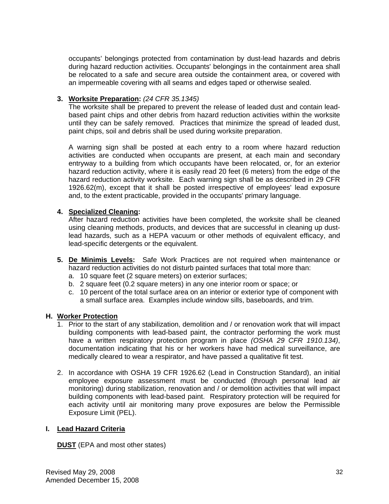occupants' belongings protected from contamination by dust-lead hazards and debris during hazard reduction activities. Occupants' belongings in the containment area shall be relocated to a safe and secure area outside the containment area, or covered with an impermeable covering with all seams and edges taped or otherwise sealed.

#### **3. Worksite Preparation:** *(24 CFR 35.1345)*

 The worksite shall be prepared to prevent the release of leaded dust and contain leadbased paint chips and other debris from hazard reduction activities within the worksite until they can be safely removed. Practices that minimize the spread of leaded dust, paint chips, soil and debris shall be used during worksite preparation.

 A warning sign shall be posted at each entry to a room where hazard reduction activities are conducted when occupants are present, at each main and secondary entryway to a building from which occupants have been relocated, or, for an exterior hazard reduction activity, where it is easily read 20 feet (6 meters) from the edge of the hazard reduction activity worksite. Each warning sign shall be as described in 29 CFR 1926.62(m), except that it shall be posted irrespective of employees' lead exposure and, to the extent practicable, provided in the occupants' primary language.

#### **4. Specialized Cleaning:**

 After hazard reduction activities have been completed, the worksite shall be cleaned using cleaning methods, products, and devices that are successful in cleaning up dustlead hazards, such as a HEPA vacuum or other methods of equivalent efficacy, and lead-specific detergents or the equivalent.

- **5. De Minimis Levels:** Safe Work Practices are not required when maintenance or hazard reduction activities do not disturb painted surfaces that total more than:
	- a. 10 square feet (2 square meters) on exterior surfaces;
	- b. 2 square feet (0.2 square meters) in any one interior room or space; or
	- c. 10 percent of the total surface area on an interior or exterior type of component with a small surface area. Examples include window sills, baseboards, and trim.

#### **H. Worker Protection**

- 1. Prior to the start of any stabilization, demolition and / or renovation work that will impact building components with lead-based paint, the contractor performing the work must have a written respiratory protection program in place *(OSHA 29 CFR 1910.134)*, documentation indicating that his or her workers have had medical surveillance, are medically cleared to wear a respirator, and have passed a qualitative fit test.
- 2. In accordance with OSHA 19 CFR 1926.62 (Lead in Construction Standard), an initial employee exposure assessment must be conducted (through personal lead air monitoring) during stabilization, renovation and / or demolition activities that will impact building components with lead-based paint. Respiratory protection will be required for each activity until air monitoring many prove exposures are below the Permissible Exposure Limit (PEL).

#### **I. Lead Hazard Criteria**

**DUST** (EPA and most other states)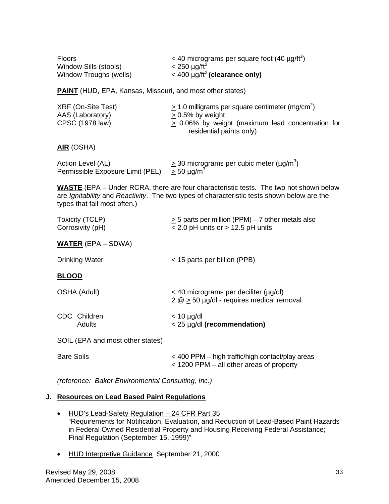| <b>Floors</b><br>Window Sills (stools)<br>Window Troughs (wells)                                                                                                                                                           | < 40 micrograms per square foot (40 $\mu$ g/ft <sup>2</sup> )<br>$< 250 \mu g / \text{ft}^2$<br>$<$ 400 µg/ft <sup>2</sup> (clearance only)                                      |  |
|----------------------------------------------------------------------------------------------------------------------------------------------------------------------------------------------------------------------------|----------------------------------------------------------------------------------------------------------------------------------------------------------------------------------|--|
| <b>PAINT</b> (HUD, EPA, Kansas, Missouri, and most other states)                                                                                                                                                           |                                                                                                                                                                                  |  |
| XRF (On-Site Test)<br>AAS (Laboratory)<br>CPSC (1978 law)                                                                                                                                                                  | $\geq$ 1.0 milligrams per square centimeter (mg/cm <sup>2</sup> )<br>$\geq$ 0.5% by weight<br>$\geq$ 0.06% by weight (maximum lead concentration for<br>residential paints only) |  |
| <b>AIR</b> (OSHA)                                                                                                                                                                                                          |                                                                                                                                                                                  |  |
| Action Level (AL)<br>Permissible Exposure Limit (PEL) $>$ 50 µg/m <sup>3</sup>                                                                                                                                             | $\geq$ 30 micrograms per cubic meter (µg/m <sup>3</sup> )                                                                                                                        |  |
| <b>WASTE</b> (EPA – Under RCRA, there are four characteristic tests. The two not shown below<br>are Ignitability and Reactivity. The two types of characteristic tests shown below are the<br>types that fail most often.) |                                                                                                                                                                                  |  |
| Toxicity (TCLP)<br>Corrosivity (pH)                                                                                                                                                                                        | $\geq$ 5 parts per million (PPM) – 7 other metals also<br>< 2.0 pH units or > 12.5 pH units                                                                                      |  |
| <b>WATER</b> (EPA – SDWA)                                                                                                                                                                                                  |                                                                                                                                                                                  |  |
| <b>Drinking Water</b>                                                                                                                                                                                                      | < 15 parts per billion (PPB)                                                                                                                                                     |  |
| <u>BLOOD</u>                                                                                                                                                                                                               |                                                                                                                                                                                  |  |
| <b>OSHA (Adult)</b>                                                                                                                                                                                                        | $<$ 40 micrograms per deciliter ( $\mu$ g/dl)<br>$2 \text{ } \textcircled{2}$ $\geq$ 50 µg/dl - requires medical removal                                                         |  |
| CDC Children<br>Adults                                                                                                                                                                                                     | $< 10$ µg/dl<br>< 25 µg/dl (recommendation)                                                                                                                                      |  |
| <b>SOIL</b> (EPA and most other states)                                                                                                                                                                                    |                                                                                                                                                                                  |  |
| <b>Bare Soils</b>                                                                                                                                                                                                          | < 400 PPM – high traffic/high contact/play areas<br>< 1200 PPM – all other areas of property                                                                                     |  |
| (reference: Baker Environmental Consulting, Inc.)                                                                                                                                                                          |                                                                                                                                                                                  |  |

# **J. Resources on Lead Based Paint Regulations**

- HUD's Lead-Safety Regulation 24 CFR Part 35 "Requirements for Notification, Evaluation, and Reduction of Lead-Based Paint Hazards in Federal Owned Residential Property and Housing Receiving Federal Assistance; Final Regulation (September 15, 1999)"
- HUD Interpretive Guidance September 21, 2000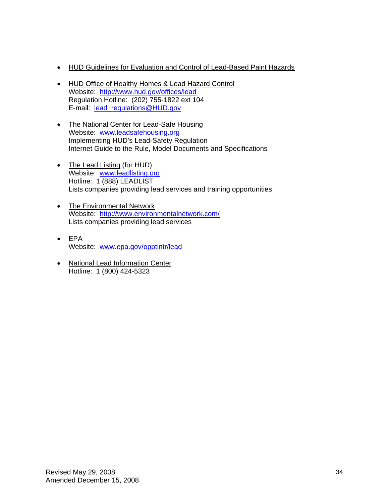- HUD Guidelines for Evaluation and Control of Lead-Based Paint Hazards
- HUD Office of Healthy Homes & Lead Hazard Control Website: http://www.hud.gov/offices/lead Regulation Hotline: (202) 755-1822 ext 104 E-mail: lead\_regulations@HUD.gov
- The National Center for Lead-Safe Housing Website: www.leadsafehousing.org Implementing HUD's Lead-Safety Regulation Internet Guide to the Rule, Model Documents and Specifications
- The Lead Listing (for HUD) Website: www.leadlisting.org Hotline: 1 (888) LEADLIST Lists companies providing lead services and training opportunities
- The Environmental Network Website: http://www.environmentalnetwork.com/ Lists companies providing lead services
- $\bullet$  EPA Website: www.epa.gov/opptintr/lead
- National Lead Information Center Hotline: 1 (800) 424-5323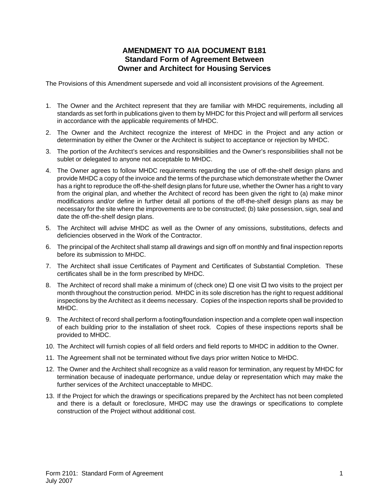### **AMENDMENT TO AIA DOCUMENT B181 Standard Form of Agreement Between Owner and Architect for Housing Services**

The Provisions of this Amendment supersede and void all inconsistent provisions of the Agreement.

- 1. The Owner and the Architect represent that they are familiar with MHDC requirements, including all standards as set forth in publications given to them by MHDC for this Project and will perform all services in accordance with the applicable requirements of MHDC.
- 2. The Owner and the Architect recognize the interest of MHDC in the Project and any action or determination by either the Owner or the Architect is subject to acceptance or rejection by MHDC.
- 3. The portion of the Architect's services and responsibilities and the Owner's responsibilities shall not be sublet or delegated to anyone not acceptable to MHDC.
- 4. The Owner agrees to follow MHDC requirements regarding the use of off-the-shelf design plans and provide MHDC a copy of the invoice and the terms of the purchase which demonstrate whether the Owner has a right to reproduce the off-the-shelf design plans for future use, whether the Owner has a right to vary from the original plan, and whether the Architect of record has been given the right to (a) make minor modifications and/or define in further detail all portions of the off-the-shelf design plans as may be necessary for the site where the improvements are to be constructed; (b) take possession, sign, seal and date the off-the-shelf design plans.
- 5. The Architect will advise MHDC as well as the Owner of any omissions, substitutions, defects and deficiencies observed in the Work of the Contractor.
- 6. The principal of the Architect shall stamp all drawings and sign off on monthly and final inspection reports before its submission to MHDC.
- 7. The Architect shall issue Certificates of Payment and Certificates of Substantial Completion. These certificates shall be in the form prescribed by MHDC.
- 8. The Architect of record shall make a minimum of (check one)  $\Box$  one visit  $\Box$  two visits to the project per month throughout the construction period. MHDC in its sole discretion has the right to request additional inspections by the Architect as it deems necessary. Copies of the inspection reports shall be provided to MHDC.
- 9. The Architect of record shall perform a footing/foundation inspection and a complete open wall inspection of each building prior to the installation of sheet rock. Copies of these inspections reports shall be provided to MHDC.
- 10. The Architect will furnish copies of all field orders and field reports to MHDC in addition to the Owner.
- 11. The Agreement shall not be terminated without five days prior written Notice to MHDC.
- 12. The Owner and the Architect shall recognize as a valid reason for termination, any request by MHDC for termination because of inadequate performance, undue delay or representation which may make the further services of the Architect unacceptable to MHDC.
- 13. If the Project for which the drawings or specifications prepared by the Architect has not been completed and there is a default or foreclosure, MHDC may use the drawings or specifications to complete construction of the Project without additional cost.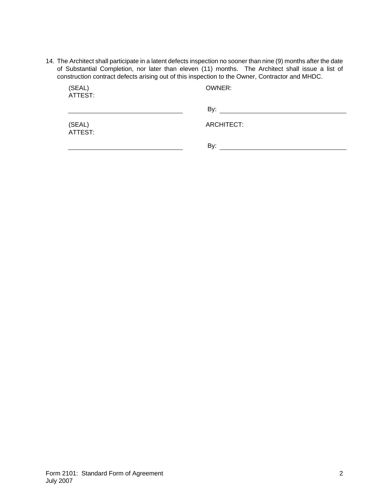14. The Architect shall participate in a latent defects inspection no sooner than nine (9) months after the date of Substantial Completion, nor later than eleven (11) months. The Architect shall issue a list of construction contract defects arising out of this inspection to the Owner, Contractor and MHDC.

| (SEAL)<br>ATTEST: | OWNER:     |  |
|-------------------|------------|--|
|                   | By:        |  |
| (SEAL)<br>ATTEST: | ARCHITECT: |  |
|                   | By:        |  |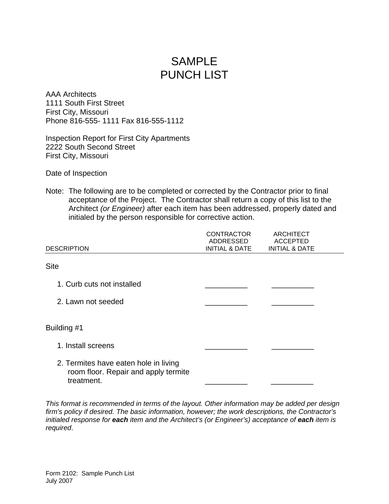# SAMPLE PUNCH LIST

AAA Architects 1111 South First Street First City, Missouri Phone 816-555- 1111 Fax 816-555-1112

Inspection Report for First City Apartments 2222 South Second Street First City, Missouri

Date of Inspection

Note: The following are to be completed or corrected by the Contractor prior to final acceptance of the Project. The Contractor shall return a copy of this list to the Architect *(or Engineer)* after each item has been addressed, properly dated and initialed by the person responsible for corrective action.

| <b>DESCRIPTION</b>                                                                          | <b>CONTRACTOR</b><br>ADDRESSED<br><b>INITIAL &amp; DATE</b> | <b>ARCHITECT</b><br><b>ACCEPTED</b><br><b>INITIAL &amp; DATE</b> |  |
|---------------------------------------------------------------------------------------------|-------------------------------------------------------------|------------------------------------------------------------------|--|
| <b>Site</b>                                                                                 |                                                             |                                                                  |  |
| 1. Curb cuts not installed                                                                  |                                                             |                                                                  |  |
| 2. Lawn not seeded                                                                          |                                                             |                                                                  |  |
| Building #1                                                                                 |                                                             |                                                                  |  |
| 1. Install screens                                                                          |                                                             |                                                                  |  |
| 2. Termites have eaten hole in living<br>room floor. Repair and apply termite<br>treatment. |                                                             |                                                                  |  |

*This format is recommended in terms of the layout. Other information may be added per design firm's policy if desired. The basic information, however; the work descriptions, the Contractor's initialed response for each item and the Architect's (or Engineer's) acceptance of each item is required*.